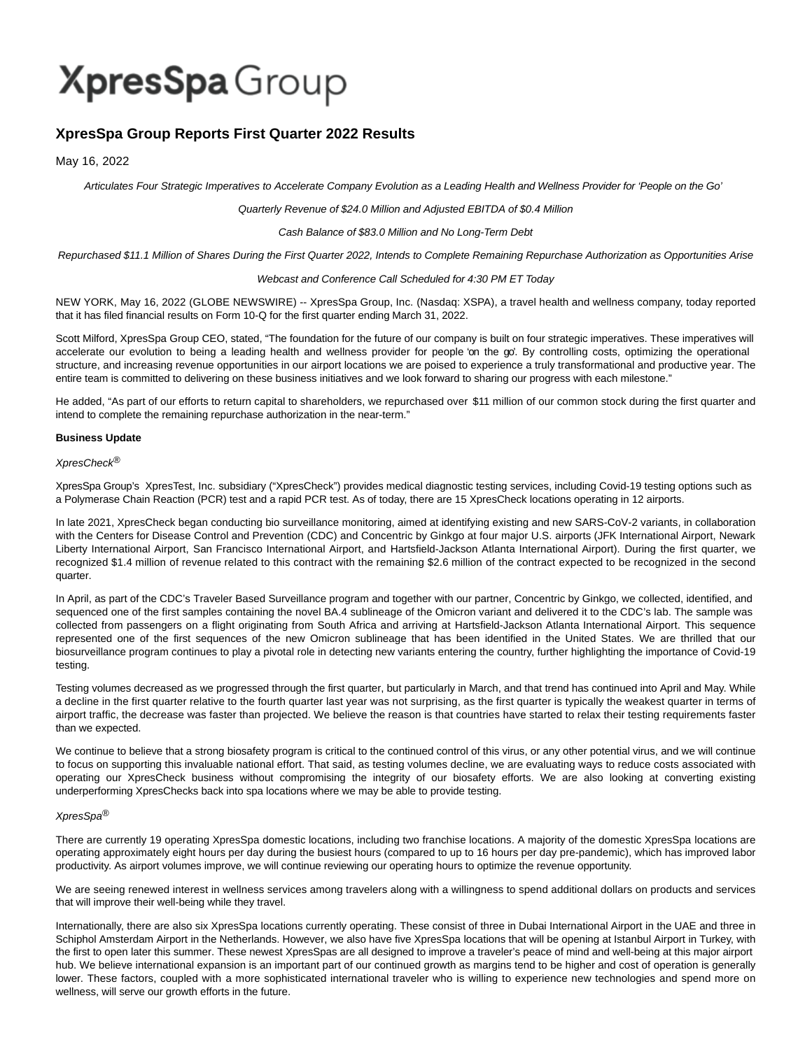# XpresSpa Group

# **XpresSpa Group Reports First Quarter 2022 Results**

May 16, 2022

Articulates Four Strategic Imperatives to Accelerate Company Evolution as a Leading Health and Wellness Provider for 'People on the Go'

# Quarterly Revenue of \$24.0 Million and Adjusted EBITDA of \$0.4 Million

# Cash Balance of \$83.0 Million and No Long-Term Debt

Repurchased \$11.1 Million of Shares During the First Quarter 2022, Intends to Complete Remaining Repurchase Authorization as Opportunities Arise

# Webcast and Conference Call Scheduled for 4:30 PM ET Today

NEW YORK, May 16, 2022 (GLOBE NEWSWIRE) -- XpresSpa Group, Inc. (Nasdaq: XSPA), a travel health and wellness company, today reported that it has filed financial results on Form 10-Q for the first quarter ending March 31, 2022.

Scott Milford, XpresSpa Group CEO, stated, "The foundation for the future of our company is built on four strategic imperatives. These imperatives will accelerate our evolution to being a leading health and wellness provider for people 'on the go'. By controlling costs, optimizing the operational structure, and increasing revenue opportunities in our airport locations we are poised to experience a truly transformational and productive year. The entire team is committed to delivering on these business initiatives and we look forward to sharing our progress with each milestone."

He added, "As part of our efforts to return capital to shareholders, we repurchased over \$11 million of our common stock during the first quarter and intend to complete the remaining repurchase authorization in the near-term."

# **Business Update**

XpresCheck®

XpresSpa Group's XpresTest, Inc. subsidiary ("XpresCheck") provides medical diagnostic testing services, including Covid-19 testing options such as a Polymerase Chain Reaction (PCR) test and a rapid PCR test. As of today, there are 15 XpresCheck locations operating in 12 airports.

In late 2021, XpresCheck began conducting bio surveillance monitoring, aimed at identifying existing and new SARS-CoV-2 variants, in collaboration with the Centers for Disease Control and Prevention (CDC) and Concentric by Ginkgo at four major U.S. airports (JFK International Airport, Newark Liberty International Airport, San Francisco International Airport, and Hartsfield-Jackson Atlanta International Airport). During the first quarter, we recognized \$1.4 million of revenue related to this contract with the remaining \$2.6 million of the contract expected to be recognized in the second quarter.

In April, as part of the CDC's Traveler Based Surveillance program and together with our partner, Concentric by Ginkgo, we collected, identified, and sequenced one of the first samples containing the novel BA.4 sublineage of the Omicron variant and delivered it to the CDC's lab. The sample was collected from passengers on a flight originating from South Africa and arriving at Hartsfield-Jackson Atlanta International Airport. This sequence represented one of the first sequences of the new Omicron sublineage that has been identified in the United States. We are thrilled that our biosurveillance program continues to play a pivotal role in detecting new variants entering the country, further highlighting the importance of Covid-19 testing.

Testing volumes decreased as we progressed through the first quarter, but particularly in March, and that trend has continued into April and May. While a decline in the first quarter relative to the fourth quarter last year was not surprising, as the first quarter is typically the weakest quarter in terms of airport traffic, the decrease was faster than projected. We believe the reason is that countries have started to relax their testing requirements faster than we expected.

We continue to believe that a strong biosafety program is critical to the continued control of this virus, or any other potential virus, and we will continue to focus on supporting this invaluable national effort. That said, as testing volumes decline, we are evaluating ways to reduce costs associated with operating our XpresCheck business without compromising the integrity of our biosafety efforts. We are also looking at converting existing underperforming XpresChecks back into spa locations where we may be able to provide testing.

# XpresSpa®

There are currently 19 operating XpresSpa domestic locations, including two franchise locations. A majority of the domestic XpresSpa locations are operating approximately eight hours per day during the busiest hours (compared to up to 16 hours per day pre-pandemic), which has improved labor productivity. As airport volumes improve, we will continue reviewing our operating hours to optimize the revenue opportunity.

We are seeing renewed interest in wellness services among travelers along with a willingness to spend additional dollars on products and services that will improve their well-being while they travel.

Internationally, there are also six XpresSpa locations currently operating. These consist of three in Dubai International Airport in the UAE and three in Schiphol Amsterdam Airport in the Netherlands. However, we also have five XpresSpa locations that will be opening at Istanbul Airport in Turkey, with the first to open later this summer. These newest XpresSpas are all designed to improve a traveler's peace of mind and well-being at this major airport hub. We believe international expansion is an important part of our continued growth as margins tend to be higher and cost of operation is generally lower. These factors, coupled with a more sophisticated international traveler who is willing to experience new technologies and spend more on wellness, will serve our growth efforts in the future.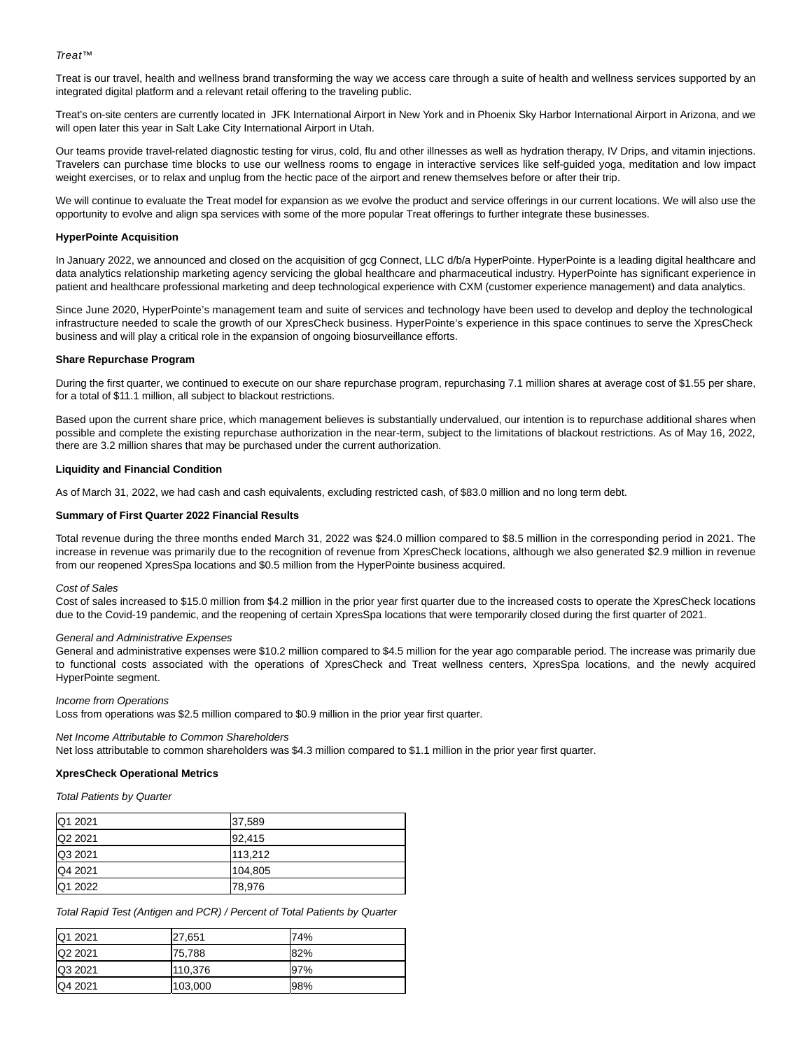# Treat™

Treat is our travel, health and wellness brand transforming the way we access care through a suite of health and wellness services supported by an integrated digital platform and a relevant retail offering to the traveling public.

Treat's on-site centers are currently located in JFK International Airport in New York and in Phoenix Sky Harbor International Airport in Arizona, and we will open later this year in Salt Lake City International Airport in Utah.

Our teams provide travel-related diagnostic testing for virus, cold, flu and other illnesses as well as hydration therapy, IV Drips, and vitamin injections. Travelers can purchase time blocks to use our wellness rooms to engage in interactive services like self-guided yoga, meditation and low impact weight exercises, or to relax and unplug from the hectic pace of the airport and renew themselves before or after their trip.

We will continue to evaluate the Treat model for expansion as we evolve the product and service offerings in our current locations. We will also use the opportunity to evolve and align spa services with some of the more popular Treat offerings to further integrate these businesses.

# **HyperPointe Acquisition**

In January 2022, we announced and closed on the acquisition of gcg Connect, LLC d/b/a HyperPointe. HyperPointe is a leading digital healthcare and data analytics relationship marketing agency servicing the global healthcare and pharmaceutical industry. HyperPointe has significant experience in patient and healthcare professional marketing and deep technological experience with CXM (customer experience management) and data analytics.

Since June 2020, HyperPointe's management team and suite of services and technology have been used to develop and deploy the technological infrastructure needed to scale the growth of our XpresCheck business. HyperPointe's experience in this space continues to serve the XpresCheck business and will play a critical role in the expansion of ongoing biosurveillance efforts.

# **Share Repurchase Program**

During the first quarter, we continued to execute on our share repurchase program, repurchasing 7.1 million shares at average cost of \$1.55 per share, for a total of \$11.1 million, all subject to blackout restrictions.

Based upon the current share price, which management believes is substantially undervalued, our intention is to repurchase additional shares when possible and complete the existing repurchase authorization in the near-term, subject to the limitations of blackout restrictions. As of May 16, 2022, there are 3.2 million shares that may be purchased under the current authorization.

# **Liquidity and Financial Condition**

As of March 31, 2022, we had cash and cash equivalents, excluding restricted cash, of \$83.0 million and no long term debt.

# **Summary of First Quarter 2022 Financial Results**

Total revenue during the three months ended March 31, 2022 was \$24.0 million compared to \$8.5 million in the corresponding period in 2021. The increase in revenue was primarily due to the recognition of revenue from XpresCheck locations, although we also generated \$2.9 million in revenue from our reopened XpresSpa locations and \$0.5 million from the HyperPointe business acquired.

#### Cost of Sales

Cost of sales increased to \$15.0 million from \$4.2 million in the prior year first quarter due to the increased costs to operate the XpresCheck locations due to the Covid-19 pandemic, and the reopening of certain XpresSpa locations that were temporarily closed during the first quarter of 2021.

#### General and Administrative Expenses

General and administrative expenses were \$10.2 million compared to \$4.5 million for the year ago comparable period. The increase was primarily due to functional costs associated with the operations of XpresCheck and Treat wellness centers, XpresSpa locations, and the newly acquired HyperPointe segment.

# Income from Operations

Loss from operations was \$2.5 million compared to \$0.9 million in the prior year first quarter.

#### Net Income Attributable to Common Shareholders

Net loss attributable to common shareholders was \$4.3 million compared to \$1.1 million in the prior year first quarter.

# **XpresCheck Operational Metrics**

Total Patients by Quarter

| Q1 2021 | 37,589  |
|---------|---------|
| Q2 2021 | 92,415  |
| Q3 2021 | 113.212 |
| Q4 2021 | 104,805 |
| Q1 2022 | 78,976  |

Total Rapid Test (Antigen and PCR) / Percent of Total Patients by Quarter

| Q1 2021 | 27,651  | 74%  |
|---------|---------|------|
| Q2 2021 | 75,788  | 182% |
| Q3 2021 | 110,376 | 97%  |
| Q4 2021 | 103,000 | 98%  |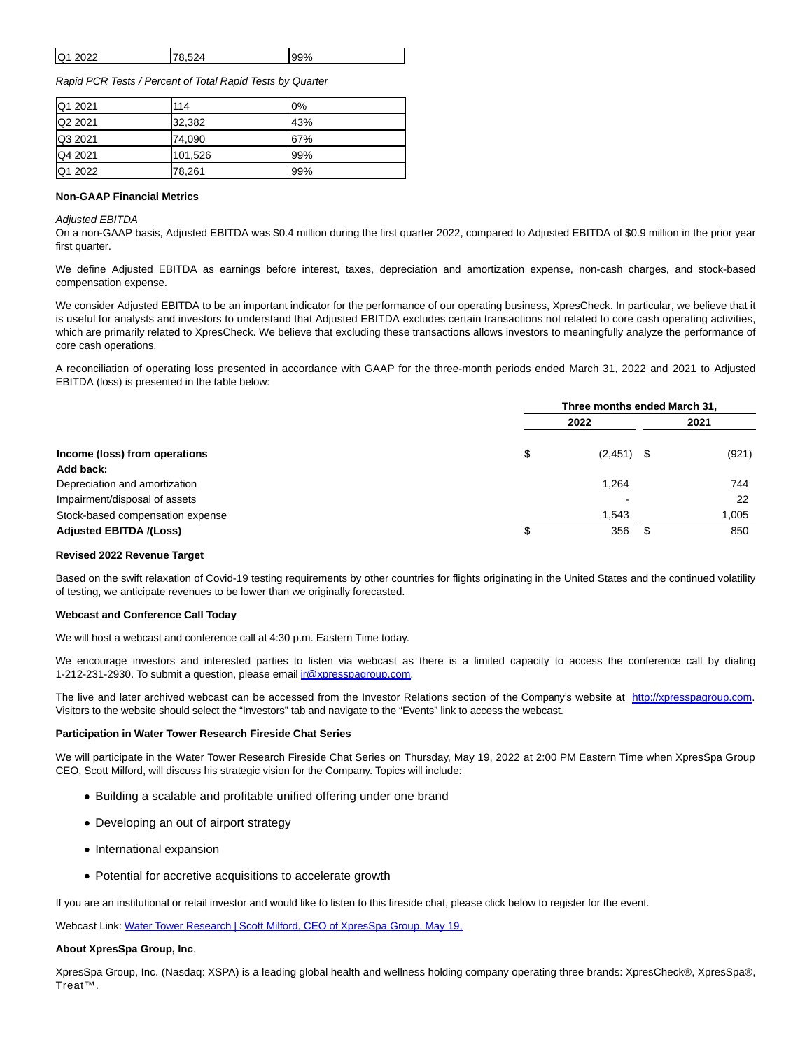| Q <sub>1</sub><br>.2022<br>∼∸∼ |  |
|--------------------------------|--|
|                                |  |

Rapid PCR Tests / Percent of Total Rapid Tests by Quarter

| <b>Q1 2021</b> | 114     | 0%  |
|----------------|---------|-----|
| Q2 2021        | 32,382  | 43% |
| Q3 2021        | 74,090  | 67% |
| Q4 2021        | 101,526 | 99% |
| Q1 2022        | 78,261  | 99% |

# **Non-GAAP Financial Metrics**

#### Adjusted EBITDA

On a non-GAAP basis, Adjusted EBITDA was \$0.4 million during the first quarter 2022, compared to Adjusted EBITDA of \$0.9 million in the prior year first quarter.

We define Adjusted EBITDA as earnings before interest, taxes, depreciation and amortization expense, non-cash charges, and stock-based compensation expense.

We consider Adjusted EBITDA to be an important indicator for the performance of our operating business, XpresCheck. In particular, we believe that it is useful for analysts and investors to understand that Adjusted EBITDA excludes certain transactions not related to core cash operating activities, which are primarily related to XpresCheck. We believe that excluding these transactions allows investors to meaningfully analyze the performance of core cash operations.

A reconciliation of operating loss presented in accordance with GAAP for the three-month periods ended March 31, 2022 and 2021 to Adjusted EBITDA (loss) is presented in the table below:

|                                  | Three months ended March 31, |  |       |
|----------------------------------|------------------------------|--|-------|
|                                  | 2022                         |  | 2021  |
| Income (loss) from operations    | \$<br>$(2,451)$ \$           |  | (921) |
| Add back:                        |                              |  |       |
| Depreciation and amortization    | 1,264                        |  | 744   |
| Impairment/disposal of assets    |                              |  | 22    |
| Stock-based compensation expense | 1,543                        |  | 1,005 |
| <b>Adjusted EBITDA /(Loss)</b>   | \$<br>356                    |  | 850   |

#### **Revised 2022 Revenue Target**

Based on the swift relaxation of Covid-19 testing requirements by other countries for flights originating in the United States and the continued volatility of testing, we anticipate revenues to be lower than we originally forecasted.

#### **Webcast and Conference Call Today**

We will host a webcast and conference call at 4:30 p.m. Eastern Time today.

We encourage investors and interested parties to listen via webcast as there is a limited capacity to access the conference call by dialing 1-212-231-2930. To submit a question, please email [ir@xpresspagroup.com.](mailto:ir@xpresspagroup.com)

The live and later archived webcast can be accessed from the Investor Relations section of the Company's website at [http://xpresspagroup.com.](http://xpresspagroup.com/) Visitors to the website should select the "Investors" tab and navigate to the "Events" link to access the webcast.

#### **Participation in Water Tower Research Fireside Chat Series**

We will participate in the Water Tower Research Fireside Chat Series on Thursday, May 19, 2022 at 2:00 PM Eastern Time when XpresSpa Group CEO, Scott Milford, will discuss his strategic vision for the Company. Topics will include:

- Building a scalable and profitable unified offering under one brand
- Developing an out of airport strategy
- International expansion
- Potential for accretive acquisitions to accelerate growth

If you are an institutional or retail investor and would like to listen to this fireside chat, please click below to register for the event.

Webcast Link: [Water Tower Research | Scott Milford, CEO of XpresSpa Group, May 19,](https://www.globenewswire.com/Tracker?data=gYNfITKmBQOCumBKFGXfEaci1qgSTU-umKorKd0GH0C6gO9aa0K5Y-F8vmAO0Px3agOvH6KrIkRNyDLBKMLN9k1L_XHVDWBc72zwIvGOl8TwrOxfHr9wOlwgN6om5X02oRbAntgXQW3TUrb4sZ1K_d8NIioO92PO6JM4xor8c_nWJ07f4ZvMLwCXd0qlGlfnEOkYH29QbVsGByx9EsinmqF_O7cd7is40TMoHF1p93gHF1slQADLAiDEMihBahXzBB1vG7v1mCOz-IlEXDBZmETRM5sxTBym1H4d0r0j2pI=)

#### **About XpresSpa Group, Inc**.

XpresSpa Group, Inc. (Nasdaq: XSPA) is a leading global health and wellness holding company operating three brands: XpresCheck®, XpresSpa®, Treat™.